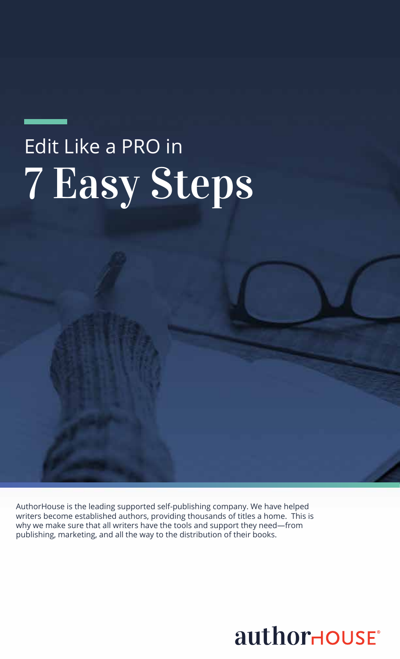AuthorHouse is the leading supported self-publishing company. We have helped writers become established authors, providing thousands of titles a home. This is why we make sure that all writers have the tools and support they need—from publishing, marketing, and all the way to the distribution of their books.

# authorHOUSE®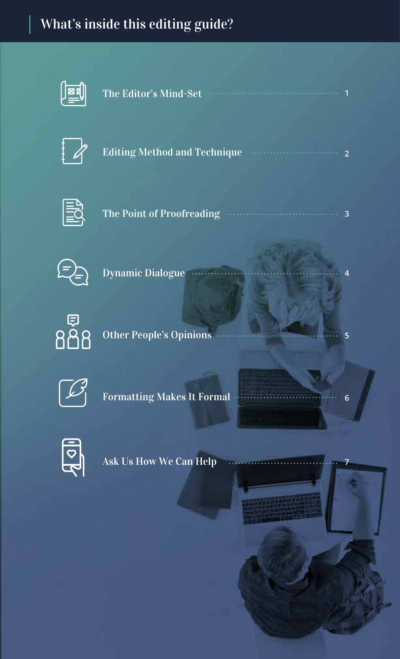# What's inside this editing guide?



| The Editor's Mind-Set <b>Wind-Set</b> 1 |  |  |  |  |
|-----------------------------------------|--|--|--|--|
|                                         |  |  |  |  |
|                                         |  |  |  |  |



| Editing Method and Technique Marrow Communication |  |
|---------------------------------------------------|--|
|---------------------------------------------------|--|



**3** The Point of Proofreading ........



**4** Dynamic Dialogue ......

**5**

**6**

**7**



Other People's Opinions



Formatting Makes It Formal



Ask Us How We Can Help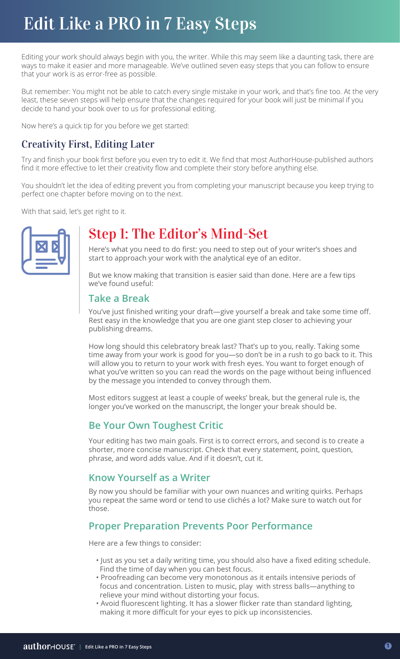### Edit Like a PRO in 7 Easy Steps **Edit Like a Pro in 7 Easy Steps.** Edit Like a PRO in 7 Easy Steps

Editing your work should always begin with you, the writer. While this may seem like a daunting task, there are ways to make it easier and more manageable. We've outlined seven easy steps that you can follow to ensure that your work is as error-free as possible.

But remember: You might not be able to catch every single mistake in your work, and that's fine too. At the very least, these seven steps will help ensure that the changes required for your book will just be minimal if you decide to hand your book over to us for professional editing.

Now here's a quick tip for you before we get started:

### Creativity First, Editing Later

Try and finish your book first before you even try to edit it. We find that most AuthorHouse-published authors find it more effective to let their creativity flow and complete their story before anything else.

You shouldn't let the idea of editing prevent you from completing your manuscript because you keep trying to perfect one chapter before moving on to the next.

With that said, let's get right to it.



### Step 1: The Editor's Mind-Set

Here's what you need to do first: you need to step out of your writer's shoes and start to approach your work with the analytical eye of an editor.

But we know making that transition is easier said than done. Here are a few tips we've found useful:

### **Take a Break**

You've just finished writing your draft—give yourself a break and take some time off. Rest easy in the knowledge that you are one giant step closer to achieving your publishing dreams.

How long should this celebratory break last? That's up to you, really. Taking some time away from your work is good for you—so don't be in a rush to go back to it. This will allow you to return to your work with fresh eyes. You want to forget enough of what you've written so you can read the words on the page without being influenced by the message you intended to convey through them.

Most editors suggest at least a couple of weeks' break, but the general rule is, the longer you've worked on the manuscript, the longer your break should be.

### **Be Your Own Toughest Critic**

Your editing has two main goals. First is to correct errors, and second is to create a shorter, more concise manuscript. Check that every statement, point, question, phrase, and word adds value. And if it doesn't, cut it.

### **Know Yourself as a Writer**

By now you should be familiar with your own nuances and writing quirks. Perhaps you repeat the same word or tend to use clichés a lot? Make sure to watch out for those.

### **Proper Preparation Prevents Poor Performance**

Here are a few things to consider:

- Just as you set a daily writing time, you should also have a fixed editing schedule. Find the time of day when you can best focus.
- Proofreading can become very monotonous as it entails intensive periods of focus and concentration. Listen to music, play with stress balls—anything to relieve your mind without distorting your focus.
- Avoid fluorescent lighting. It has a slower flicker rate than standard lighting, making it more difficult for your eyes to pick up inconsistencies.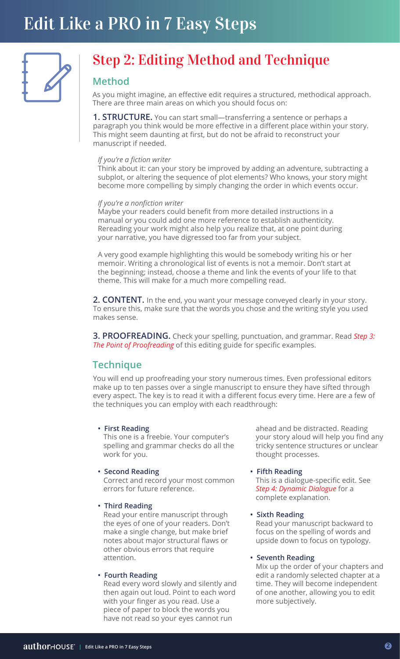

## Step 2: Editing Method and Technique

### **Method**

As you might imagine, an effective edit requires a structured, methodical approach. There are three main areas on which you should focus on:

**1. STRUCTURE.** You can start small—transferring a sentence or perhaps a paragraph you think would be more effective in a different place within your story. This might seem daunting at first, but do not be afraid to reconstruct your manuscript if needed.

#### *If you're a fiction writer*

Think about it: can your story be improved by adding an adventure, subtracting a subplot, or altering the sequence of plot elements? Who knows, your story might become more compelling by simply changing the order in which events occur.

#### *If you're a nonfiction writer*

Maybe your readers could benefit from more detailed instructions in a manual or you could add one more reference to establish authenticity. Rereading your work might also help you realize that, at one point during your narrative, you have digressed too far from your subject.

A very good example highlighting this would be somebody writing his or her memoir. Writing a chronological list of events is not a memoir. Don't start at the beginning; instead, choose a theme and link the events of your life to that theme. This will make for a much more compelling read.

**2. CONTENT.** In the end, you want your message conveyed clearly in your story. To ensure this, make sure that the words you chose and the writing style you used makes sense.

**3. PROOFREADING.** Check your spelling, punctuation, and grammar. Read *Step 3: The Point of Proofreading* of this editing guide for specific examples.

### **Technique**

You will end up proofreading your story numerous times. Even professional editors make up to ten passes over a single manuscript to ensure they have sifted through every aspect. The key is to read it with a different focus every time. Here are a few of the techniques you can employ with each readthrough:

#### **• First Reading**

 This one is a freebie. Your computer's spelling and grammar checks do all the work for you.

#### **• Second Reading**

 Correct and record your most common errors for future reference.

**• Third Reading**

 Read your entire manuscript through the eyes of one of your readers. Don't make a single change, but make brief notes about major structural flaws or other obvious errors that require attention.

#### **• Fourth Reading**

 Read every word slowly and silently and then again out loud. Point to each word with your finger as you read. Use a piece of paper to block the words you have not read so your eyes cannot run

 ahead and be distracted. Reading your story aloud will help you find any tricky sentence structures or unclear thought processes.

#### **• Fifth Reading**

 This is a dialogue-specific edit. See *Step 4: Dynamic Dialogue* for a complete explanation.

#### **• Sixth Reading**

 Read your manuscript backward to focus on the spelling of words and upside down to focus on typology.

#### **• Seventh Reading**

 Mix up the order of your chapters and edit a randomly selected chapter at a time. They will become independent of one another, allowing you to edit more subjectively.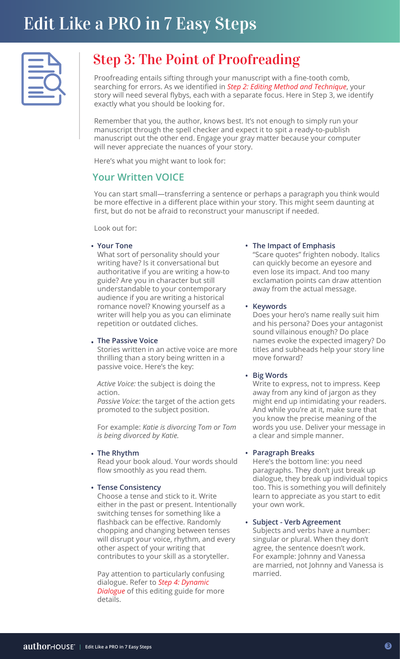# Step 3: The Point of Proofreading

Proofreading entails sifting through your manuscript with a fine-tooth comb, searching for errors. As we identified in *Step 2: Editing Method and Technique*, your story will need several flybys, each with a separate focus. Here in Step 3, we identify exactly what you should be looking for.

Remember that you, the author, knows best. It's not enough to simply run your manuscript through the spell checker and expect it to spit a ready-to-publish manuscript out the other end. Engage your gray matter because your computer will never appreciate the nuances of your story.

Here's what you might want to look for:

### **Your Written VOICE**

You can start small—transferring a sentence or perhaps a paragraph you think would be more effective in a different place within your story. This might seem daunting at first, but do not be afraid to reconstruct your manuscript if needed.

Look out for:

#### **Your Tone • •**

What sort of personality should your writing have? Is it conversational but authoritative if you are writing a how-to guide? Are you in character but still understandable to your contemporary audience if you are writing a historical romance novel? Knowing yourself as a writer will help you as you can eliminate repetition or outdated cliches.

#### **The Passive Voice •**

Stories written in an active voice are more thrilling than a story being written in a passive voice. Here's the key:

*Active Voice:* the subject is doing the action.

*Passive Voice:* the target of the action gets promoted to the subject position.

For example: *Katie is divorcing Tom or Tom is being divorced by Katie.*

#### **The Rhythm •**

Read your book aloud. Your words should flow smoothly as you read them.

#### **Tense Consistency •**

Choose a tense and stick to it. Write either in the past or present. Intentionally switching tenses for something like a flashback can be effective. Randomly chopping and changing between tenses will disrupt your voice, rhythm, and every other aspect of your writing that contributes to your skill as a storyteller.

Pay attention to particularly confusing dialogue. Refer to *Step 4: Dynamic Dialogue* of this editing guide for more details.

#### **The Impact of Emphasis**

"Scare quotes" frighten nobody. Italics can quickly become an eyesore and even lose its impact. And too many exclamation points can draw attention away from the actual message.

#### **• Keywords**

Does your hero's name really suit him and his persona? Does your antagonist sound villainous enough? Do place names evoke the expected imagery? Do titles and subheads help your story line move forward?

#### **• Big Words**

Write to express, not to impress. Keep away from any kind of jargon as they might end up intimidating your readers. And while you're at it, make sure that you know the precise meaning of the words you use. Deliver your message in a clear and simple manner.

#### **• Paragraph Breaks**

Here's the bottom line: you need paragraphs. They don't just break up dialogue, they break up individual topics too. This is something you will definitely learn to appreciate as you start to edit your own work.

#### **• Subject - Verb Agreement**

Subjects and verbs have a number: singular or plural. When they don't agree, the sentence doesn't work. For example: Johnny and Vanessa are married, not Johnny and Vanessa is married.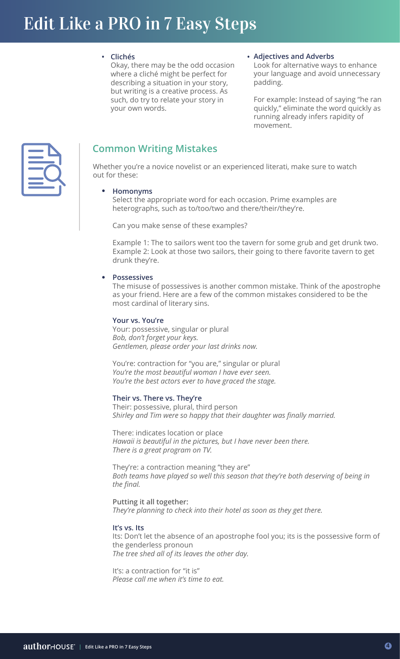**• Clichés •**

Okay, there may be the odd occasion where a cliché might be perfect for describing a situation in your story, but writing is a creative process. As such, do try to relate your story in your own words.

#### **Adjectives and Adverbs**

Look for alternative ways to enhance your language and avoid unnecessary padding.

For example: Instead of saying "he ran quickly," eliminate the word quickly as running already infers rapidity of movement.



### **Common Writing Mistakes**

Whether you're a novice novelist or an experienced literati, make sure to watch out for these:

#### **Homonyms** •

Select the appropriate word for each occasion. Prime examples are heterographs, such as to/too/two and there/their/they're.

Can you make sense of these examples?

Example 1: The to sailors went too the tavern for some grub and get drunk two. Example 2: Look at those two sailors, their going to there favorite tavern to get drunk they're.

#### **Possessives** •

The misuse of possessives is another common mistake. Think of the apostrophe as your friend. Here are a few of the common mistakes considered to be the most cardinal of literary sins.

#### **Your vs. You're**

Your: possessive, singular or plural *Bob, don't forget your keys. Gentlemen, please order your last drinks now.*

You're: contraction for "you are," singular or plural *You're the most beautiful woman I have ever seen. You're the best actors ever to have graced the stage.*

#### **Their vs. There vs. They're**

Their: possessive, plural, third person *Shirley and Tim were so happy that their daughter was finally married.*

There: indicates location or place *Hawaii is beautiful in the pictures, but I have never been there. There is a great program on TV.*

They're: a contraction meaning "they are" *Both teams have played so well this season that they're both deserving of being in the final.*

#### **Putting it all together:**

*They're planning to check into their hotel as soon as they get there.*

#### **It's vs. Its**

Its: Don't let the absence of an apostrophe fool you; its is the possessive form of the genderless pronoun *The tree shed all of its leaves the other day.*

It's: a contraction for "it is" *Please call me when it's time to eat.*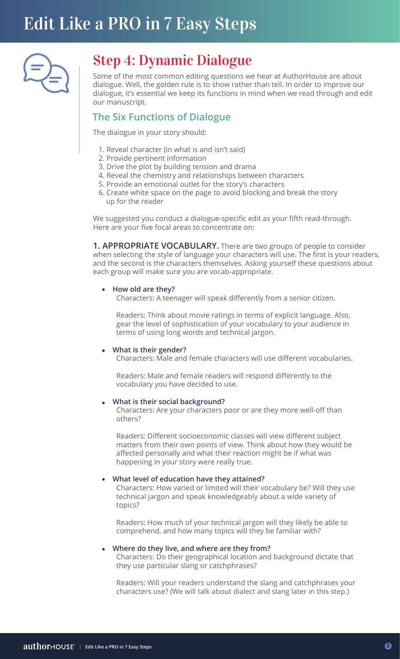

### Step 4: Dynamic Dialogue

Some of the most common editing questions we hear at AuthorHouse are about dialogue. Well, the golden rule is to show rather than tell. In order to improve our dialogue, it's essential we keep its functions in mind when we read through and edit our manuscript.

### **The Six Functions of Dialogue**

The dialogue in your story should:

- 1. Reveal character (in what is and isn't said)
- 2. Provide pertinent information
- 3. Drive the plot by building tension and drama
- 4. Reveal the chemistry and relationships between characters
- 5. Provide an emotional outlet for the story's characters
- 6. Create white space on the page to avoid blocking and break the story up for the reader

We suggested you conduct a dialogue-specific edit as your fifth read-through. Here are your five focal areas to concentrate on:

**1. APPROPRIATE VOCABULARY.** There are two groups of people to consider when selecting the style of language your characters will use. The first is your readers, and the second is the characters themselves. Asking yourself these questions about each group will make sure you are vocab-appropriate.

#### **How old are they?** •

Characters: A teenager will speak differently from a senior citizen.

 Readers: Think about movie ratings in terms of explicit language. Also, gear the level of sophistication of your vocabulary to your audience in terms of using long words and technical jargon.

#### **What is their gender?** •

Characters: Male and female characters will use different vocabularies.

 Readers: Male and female readers will respond differently to the vocabulary you have decided to use.

#### **What is their social background?** •

 Characters: Are your characters poor or are they more well-off than others?

 Readers: Different socioeconomic classes will view different subject matters from their own points of view. Think about how they would be affected personally and what their reaction might be if what was happening in your story were really true.

#### **What level of education have they attained?** •

 Characters: How varied or limited will their vocabulary be? Will they use technical jargon and speak knowledgeably about a wide variety of topics?

 Readers: How much of your technical jargon will they likely be able to comprehend, and how many topics will they be familiar with?

#### **Where do they live, and where are they from?** •

 Characters: Do their geographical location and background dictate that they use particular slang or catchphrases?

 Readers: Will your readers understand the slang and catchphrases your characters use? (We will talk about dialect and slang later in this step.)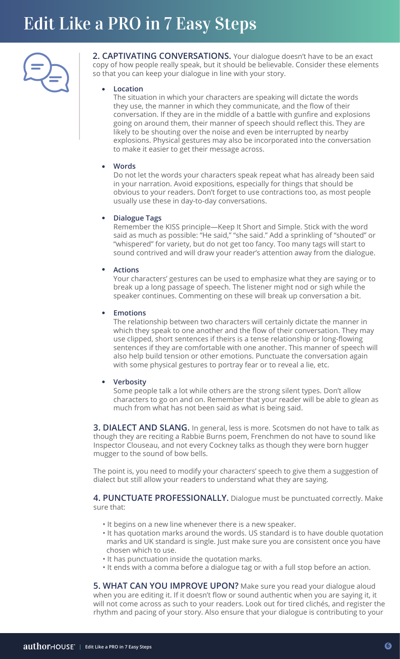

2. CAPTIVATING CONVERSATIONS. Your dialogue doesn't have to be an exact copy of how people really speak, but it should be believable. Consider these elements so that you can keep your dialogue in line with your story.

#### **Location** •

The situation in which your characters are speaking will dictate the words they use, the manner in which they communicate, and the flow of their conversation. If they are in the middle of a battle with gunfire and explosions going on around them, their manner of speech should reflect this. They are likely to be shouting over the noise and even be interrupted by nearby explosions. Physical gestures may also be incorporated into the conversation to make it easier to get their message across.

#### **Words** •

Do not let the words your characters speak repeat what has already been said in your narration. Avoid expositions, especially for things that should be obvious to your readers. Don't forget to use contractions too, as most people usually use these in day-to-day conversations.

#### **Dialogue Tags** •

Remember the KISS principle—Keep It Short and Simple. Stick with the word said as much as possible: "He said," "she said." Add a sprinkling of "shouted" or "whispered" for variety, but do not get too fancy. Too many tags will start to sound contrived and will draw your reader's attention away from the dialogue.

#### **Actions** •

Your characters' gestures can be used to emphasize what they are saying or to break up a long passage of speech. The listener might nod or sigh while the speaker continues. Commenting on these will break up conversation a bit.

#### **Emotions** •

The relationship between two characters will certainly dictate the manner in which they speak to one another and the flow of their conversation. They may use clipped, short sentences if theirs is a tense relationship or long-flowing sentences if they are comfortable with one another. This manner of speech will also help build tension or other emotions. Punctuate the conversation again with some physical gestures to portray fear or to reveal a lie, etc.

#### **Verbosity** •

Some people talk a lot while others are the strong silent types. Don't allow characters to go on and on. Remember that your reader will be able to glean as much from what has not been said as what is being said.

**3. DIALECT AND SLANG.** In general, less is more. Scotsmen do not have to talk as though they are reciting a Rabbie Burns poem, Frenchmen do not have to sound like Inspector Clouseau, and not every Cockney talks as though they were born hugger mugger to the sound of bow bells.

The point is, you need to modify your characters' speech to give them a suggestion of dialect but still allow your readers to understand what they are saying.

**4. PUNCTUATE PROFESSIONALLY.** Dialogue must be punctuated correctly. Make sure that:

- It begins on a new line whenever there is a new speaker.
- It has quotation marks around the words. US standard is to have double quotation marks and UK standard is single. Just make sure you are consistent once you have chosen which to use.
- It has punctuation inside the quotation marks.
- It ends with a comma before a dialogue tag or with a full stop before an action.

**5. WHAT CAN YOU IMPROVE UPON?** Make sure you read your dialogue aloud when you are editing it. If it doesn't flow or sound authentic when you are saying it, it will not come across as such to your readers. Look out for tired clichés, and register the rhythm and pacing of your story. Also ensure that your dialogue is contributing to your